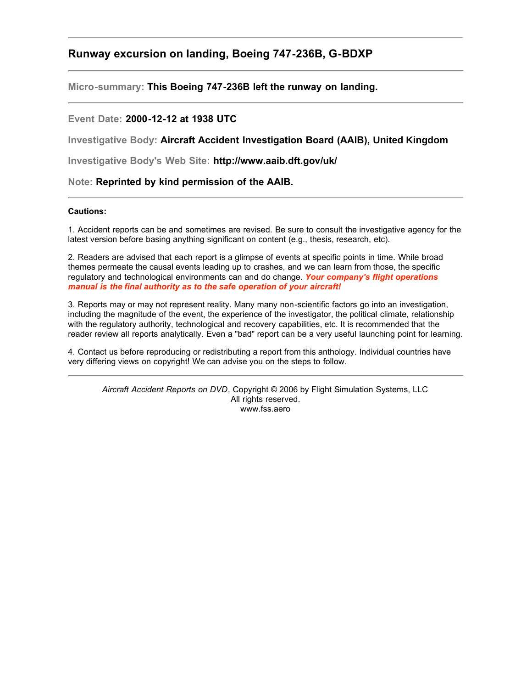## **Runway excursion on landing, Boeing 747-236B, G-BDXP**

**Micro-summary: This Boeing 747-236B left the runway on landing.**

#### **Event Date: 2000-12-12 at 1938 UTC**

**Investigative Body: Aircraft Accident Investigation Board (AAIB), United Kingdom**

**Investigative Body's Web Site: http://www.aaib.dft.gov/uk/**

**Note: Reprinted by kind permission of the AAIB.**

#### **Cautions:**

1. Accident reports can be and sometimes are revised. Be sure to consult the investigative agency for the latest version before basing anything significant on content (e.g., thesis, research, etc).

2. Readers are advised that each report is a glimpse of events at specific points in time. While broad themes permeate the causal events leading up to crashes, and we can learn from those, the specific regulatory and technological environments can and do change. *Your company's flight operations manual is the final authority as to the safe operation of your aircraft!*

3. Reports may or may not represent reality. Many many non-scientific factors go into an investigation, including the magnitude of the event, the experience of the investigator, the political climate, relationship with the regulatory authority, technological and recovery capabilities, etc. It is recommended that the reader review all reports analytically. Even a "bad" report can be a very useful launching point for learning.

4. Contact us before reproducing or redistributing a report from this anthology. Individual countries have very differing views on copyright! We can advise you on the steps to follow.

*Aircraft Accident Reports on DVD*, Copyright © 2006 by Flight Simulation Systems, LLC All rights reserved. www.fss.aero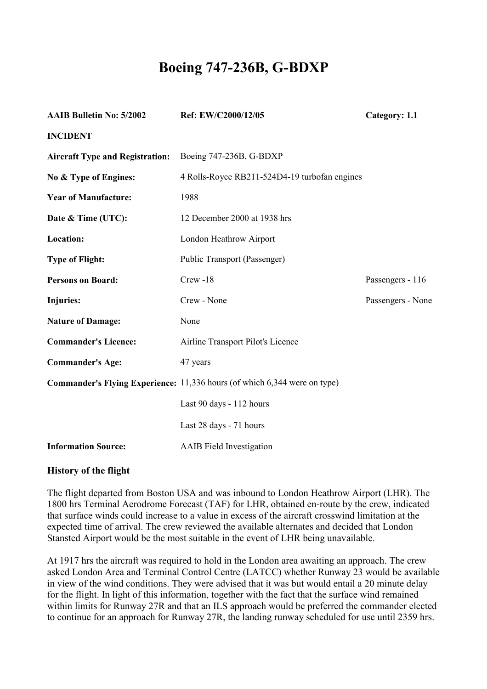# **Boeing 747-236B, G-BDXP**

| <b>AAIB Bulletin No: 5/2002</b>        | Ref: EW/C2000/12/05                                                              | Category: 1.1     |
|----------------------------------------|----------------------------------------------------------------------------------|-------------------|
| <b>INCIDENT</b>                        |                                                                                  |                   |
| <b>Aircraft Type and Registration:</b> | Boeing 747-236B, G-BDXP                                                          |                   |
| No & Type of Engines:                  | 4 Rolls-Royce RB211-524D4-19 turbofan engines                                    |                   |
| <b>Year of Manufacture:</b>            | 1988                                                                             |                   |
| Date & Time (UTC):                     | 12 December 2000 at 1938 hrs                                                     |                   |
| Location:                              | London Heathrow Airport                                                          |                   |
| <b>Type of Flight:</b>                 | Public Transport (Passenger)                                                     |                   |
| <b>Persons on Board:</b>               | $Crew - 18$                                                                      | Passengers - 116  |
| <b>Injuries:</b>                       | Crew - None                                                                      | Passengers - None |
| <b>Nature of Damage:</b>               | None                                                                             |                   |
| <b>Commander's Licence:</b>            | Airline Transport Pilot's Licence                                                |                   |
| <b>Commander's Age:</b>                | 47 years                                                                         |                   |
|                                        | <b>Commander's Flying Experience:</b> 11,336 hours (of which 6,344 were on type) |                   |
|                                        | Last 90 days - 112 hours                                                         |                   |
|                                        | Last 28 days - 71 hours                                                          |                   |
| <b>Information Source:</b>             | <b>AAIB</b> Field Investigation                                                  |                   |

## **History of the flight**

The flight departed from Boston USA and was inbound to London Heathrow Airport (LHR). The 1800 hrs Terminal Aerodrome Forecast (TAF) for LHR, obtained en-route by the crew, indicated that surface winds could increase to a value in excess of the aircraft crosswind limitation at the expected time of arrival. The crew reviewed the available alternates and decided that London Stansted Airport would be the most suitable in the event of LHR being unavailable.

At 1917 hrs the aircraft was required to hold in the London area awaiting an approach. The crew asked London Area and Terminal Control Centre (LATCC) whether Runway 23 would be available in view of the wind conditions. They were advised that it was but would entail a 20 minute delay for the flight. In light of this information, together with the fact that the surface wind remained within limits for Runway 27R and that an ILS approach would be preferred the commander elected to continue for an approach for Runway 27R, the landing runway scheduled for use until 2359 hrs.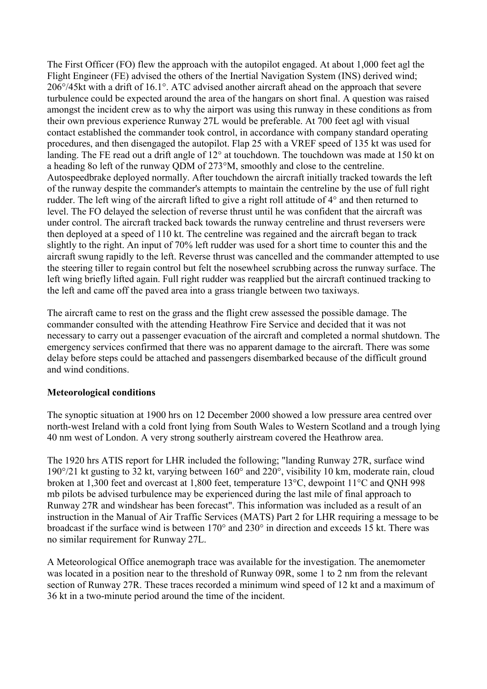The First Officer (FO) flew the approach with the autopilot engaged. At about 1,000 feet agl the Flight Engineer (FE) advised the others of the Inertial Navigation System (INS) derived wind; 206°/45kt with a drift of 16.1°. ATC advised another aircraft ahead on the approach that severe turbulence could be expected around the area of the hangars on short final. A question was raised amongst the incident crew as to why the airport was using this runway in these conditions as from their own previous experience Runway 27L would be preferable. At 700 feet agl with visual contact established the commander took control, in accordance with company standard operating procedures, and then disengaged the autopilot. Flap 25 with a VREF speed of 135 kt was used for landing. The FE read out a drift angle of 12° at touchdown. The touchdown was made at 150 kt on a heading 8o left of the runway QDM of 273°M, smoothly and close to the centreline. Autospeedbrake deployed normally. After touchdown the aircraft initially tracked towards the left of the runway despite the commander's attempts to maintain the centreline by the use of full right rudder. The left wing of the aircraft lifted to give a right roll attitude of 4° and then returned to level. The FO delayed the selection of reverse thrust until he was confident that the aircraft was under control. The aircraft tracked back towards the runway centreline and thrust reversers were then deployed at a speed of 110 kt. The centreline was regained and the aircraft began to track slightly to the right. An input of 70% left rudder was used for a short time to counter this and the aircraft swung rapidly to the left. Reverse thrust was cancelled and the commander attempted to use the steering tiller to regain control but felt the nosewheel scrubbing across the runway surface. The left wing briefly lifted again. Full right rudder was reapplied but the aircraft continued tracking to the left and came off the paved area into a grass triangle between two taxiways.

The aircraft came to rest on the grass and the flight crew assessed the possible damage. The commander consulted with the attending Heathrow Fire Service and decided that it was not necessary to carry out a passenger evacuation of the aircraft and completed a normal shutdown. The emergency services confirmed that there was no apparent damage to the aircraft. There was some delay before steps could be attached and passengers disembarked because of the difficult ground and wind conditions.

## **Meteorological conditions**

The synoptic situation at 1900 hrs on 12 December 2000 showed a low pressure area centred over north-west Ireland with a cold front lying from South Wales to Western Scotland and a trough lying 40 nm west of London. A very strong southerly airstream covered the Heathrow area.

The 1920 hrs ATIS report for LHR included the following; "landing Runway 27R, surface wind 190°/21 kt gusting to 32 kt, varying between 160° and 220°, visibility 10 km, moderate rain, cloud broken at 1,300 feet and overcast at 1,800 feet, temperature 13°C, dewpoint 11°C and QNH 998 mb pilots be advised turbulence may be experienced during the last mile of final approach to Runway 27R and windshear has been forecast". This information was included as a result of an instruction in the Manual of Air Traffic Services (MATS) Part 2 for LHR requiring a message to be broadcast if the surface wind is between 170° and 230° in direction and exceeds 15 kt. There was no similar requirement for Runway 27L.

A Meteorological Office anemograph trace was available for the investigation. The anemometer was located in a position near to the threshold of Runway 09R, some 1 to 2 nm from the relevant section of Runway 27R. These traces recorded a minimum wind speed of 12 kt and a maximum of 36 kt in a two-minute period around the time of the incident.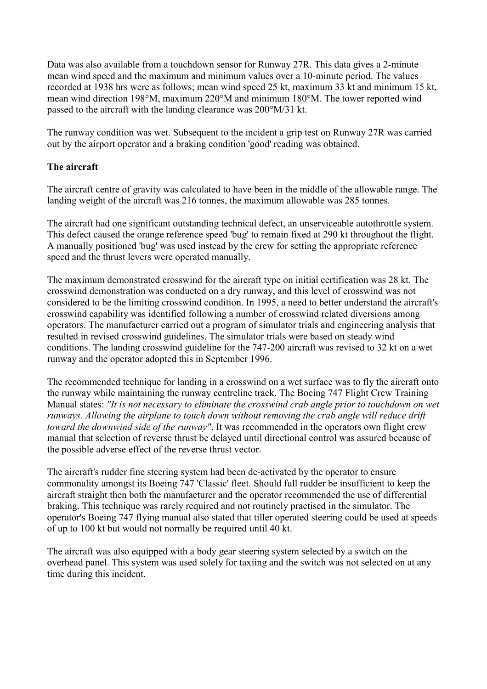Data was also available from a touchdown sensor for Runway 27R. This data gives a 2-minute mean wind speed and the maximum and minimum values over a 10-minute period. The values recorded at 1938 hrs were as follows; mean wind speed 25 kt, maximum 33 kt and minimum 15 kt, mean wind direction 198°M, maximum 220°M and minimum 180°M. The tower reported wind passed to the aircraft with the landing clearance was 200°M/31 kt.

The runway condition was wet. Subsequent to the incident a grip test on Runway 27R was carried out by the airport operator and a braking condition 'good' reading was obtained.

## **The aircraft**

The aircraft centre of gravity was calculated to have been in the middle of the allowable range. The landing weight of the aircraft was 216 tonnes, the maximum allowable was 285 tonnes.

The aircraft had one significant outstanding technical defect, an unserviceable autothrottle system. This defect caused the orange reference speed 'bug' to remain fixed at 290 kt throughout the flight. A manually positioned 'bug' was used instead by the crew for setting the appropriate reference speed and the thrust levers were operated manually.

The maximum demonstrated crosswind for the aircraft type on initial certification was 28 kt. The crosswind demonstration was conducted on a dry runway, and this level of crosswind was not considered to be the limiting crosswind condition. In 1995, a need to better understand the aircraft's crosswind capability was identified following a number of crosswind related diversions among operators. The manufacturer carried out a program of simulator trials and engineering analysis that resulted in revised crosswind guidelines. The simulator trials were based on steady wind conditions. The landing crosswind guideline for the 747-200 aircraft was revised to 32 kt on a wet runway and the operator adopted this in September 1996.

The recommended technique for landing in a crosswind on a wet surface was to fly the aircraft onto the runway while maintaining the runway centreline track. The Boeing 747 Flight Crew Training Manual states: *"It is not necessary to eliminate the crosswind crab angle prior to touchdown on wet runways. Allowing the airplane to touch down without removing the crab angle will reduce drift toward the downwind side of the runway"*. It was recommended in the operators own flight crew manual that selection of reverse thrust be delayed until directional control was assured because of the possible adverse effect of the reverse thrust vector.

The aircraft's rudder fine steering system had been de-activated by the operator to ensure commonality amongst its Boeing 747 'Classic' fleet. Should full rudder be insufficient to keep the aircraft straight then both the manufacturer and the operator recommended the use of differential braking. This technique was rarely required and not routinely practised in the simulator. The operator's Boeing 747 flying manual also stated that tiller operated steering could be used at speeds of up to 100 kt but would not normally be required until 40 kt.

The aircraft was also equipped with a body gear steering system selected by a switch on the overhead panel. This system was used solely for taxiing and the switch was not selected on at any time during this incident.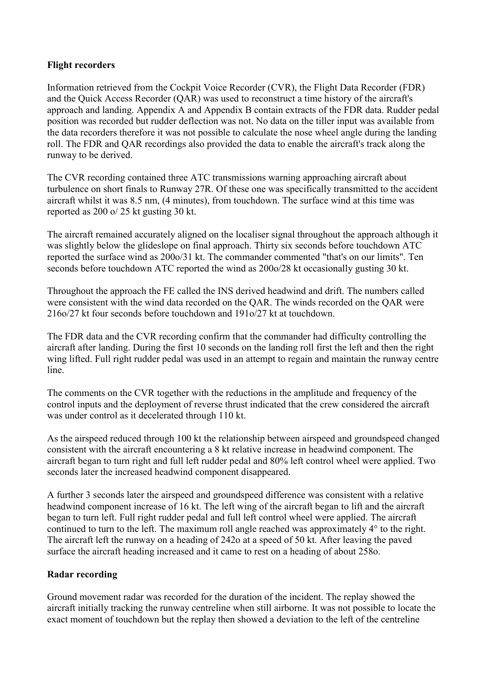## **Flight recorders**

Information retrieved from the Cockpit Voice Recorder (CVR), the Flight Data Recorder (FDR) and the Quick Access Recorder (QAR) was used to reconstruct a time history of the aircraft's approach and landing. Appendix A and Appendix B contain extracts of the FDR data. Rudder pedal position was recorded but rudder deflection was not. No data on the tiller input was available from the data recorders therefore it was not possible to calculate the nose wheel angle during the landing roll. The FDR and QAR recordings also provided the data to enable the aircraft's track along the runway to be derived.

The CVR recording contained three ATC transmissions warning approaching aircraft about turbulence on short finals to Runway 27R. Of these one was specifically transmitted to the accident aircraft whilst it was 8.5 nm, (4 minutes), from touchdown. The surface wind at this time was reported as 200 o/ 25 kt gusting 30 kt.

The aircraft remained accurately aligned on the localiser signal throughout the approach although it was slightly below the glideslope on final approach. Thirty six seconds before touchdown ATC reported the surface wind as 200o/31 kt. The commander commented "that's on our limits". Ten seconds before touchdown ATC reported the wind as 200o/28 kt occasionally gusting 30 kt.

Throughout the approach the FE called the INS derived headwind and drift. The numbers called were consistent with the wind data recorded on the QAR. The winds recorded on the QAR were 216o/27 kt four seconds before touchdown and 191o/27 kt at touchdown.

The FDR data and the CVR recording confirm that the commander had difficulty controlling the aircraft after landing. During the first 10 seconds on the landing roll first the left and then the right wing lifted. Full right rudder pedal was used in an attempt to regain and maintain the runway centre line.

The comments on the CVR together with the reductions in the amplitude and frequency of the control inputs and the deployment of reverse thrust indicated that the crew considered the aircraft was under control as it decelerated through 110 kt.

As the airspeed reduced through 100 kt the relationship between airspeed and groundspeed changed consistent with the aircraft encountering a 8 kt relative increase in headwind component. The aircraft began to turn right and full left rudder pedal and 80% left control wheel were applied. Two seconds later the increased headwind component disappeared.

A further 3 seconds later the airspeed and groundspeed difference was consistent with a relative headwind component increase of 16 kt. The left wing of the aircraft began to lift and the aircraft began to turn left. Full right rudder pedal and full left control wheel were applied. The aircraft continued to turn to the left. The maximum roll angle reached was approximately 4° to the right. The aircraft left the runway on a heading of 242o at a speed of 50 kt. After leaving the paved surface the aircraft heading increased and it came to rest on a heading of about 258o.

## **Radar recording**

Ground movement radar was recorded for the duration of the incident. The replay showed the aircraft initially tracking the runway centreline when still airborne. It was not possible to locate the exact moment of touchdown but the replay then showed a deviation to the left of the centreline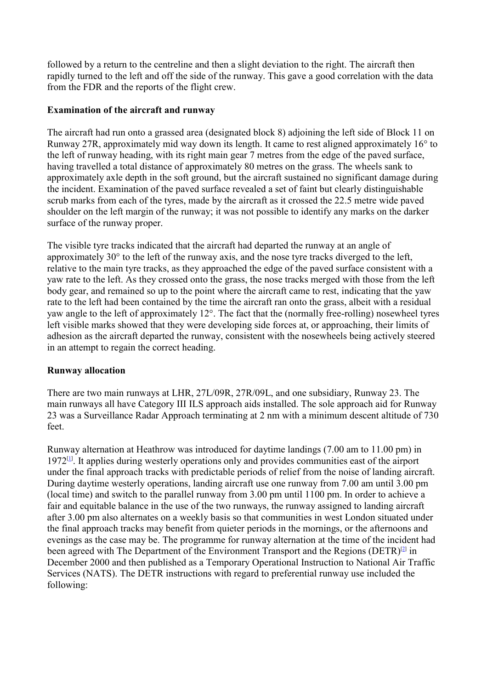followed by a return to the centreline and then a slight deviation to the right. The aircraft then rapidly turned to the left and off the side of the runway. This gave a good correlation with the data from the FDR and the reports of the flight crew.

## **Examination of the aircraft and runway**

The aircraft had run onto a grassed area (designated block 8) adjoining the left side of Block 11 on Runway 27R, approximately mid way down its length. It came to rest aligned approximately 16° to the left of runway heading, with its right main gear 7 metres from the edge of the paved surface, having travelled a total distance of approximately 80 metres on the grass. The wheels sank to approximately axle depth in the soft ground, but the aircraft sustained no significant damage during the incident. Examination of the paved surface revealed a set of faint but clearly distinguishable scrub marks from each of the tyres, made by the aircraft as it crossed the 22.5 metre wide paved shoulder on the left margin of the runway; it was not possible to identify any marks on the darker surface of the runway proper.

The visible tyre tracks indicated that the aircraft had departed the runway at an angle of approximately 30° to the left of the runway axis, and the nose tyre tracks diverged to the left, relative to the main tyre tracks, as they approached the edge of the paved surface consistent with a yaw rate to the left. As they crossed onto the grass, the nose tracks merged with those from the left body gear, and remained so up to the point where the aircraft came to rest, indicating that the yaw rate to the left had been contained by the time the aircraft ran onto the grass, albeit with a residual yaw angle to the left of approximately 12°. The fact that the (normally free-rolling) nosewheel tyres left visible marks showed that they were developing side forces at, or approaching, their limits of adhesion as the aircraft departed the runway, consistent with the nosewheels being actively steered in an attempt to regain the correct heading.

#### **Runway allocation**

There are two main runways at LHR, 27L/09R, 27R/09L, and one subsidiary, Runway 23. The main runways all have Category III ILS approach aids installed. The sole approach aid for Runway 23 was a Surveillance Radar Approach terminating at 2 nm with a minimum descent altitude of 730 feet.

Runway alternation at Heathrow was introduced for daytime landings (7.00 am to 11.00 pm) in 1972[[1\]](#page-9-0) . It applies during westerly operations only and provides communities east of the airport under the final approach tracks with predictable periods of relief from the noise of landing aircraft. During daytime westerly operations, landing aircraft use one runway from 7.00 am until 3.00 pm (local time) and switch to the parallel runway from 3.00 pm until 1100 pm. In order to achieve a fair and equitable balance in the use of the two runways, the runway assigned to landing aircraft after 3.00 pm also alternates on a weekly basis so that communities in west London situated under the final approach tracks may benefit from quieter periods in the mornings, or the afternoons and evenings as the case may be. The programme for runway alternation at the time of the incident had been agreed with The Department of the Environment Transport and the Regions (DETR)<sup>[\[2\]](#page-9-0)</sup> in December 2000 and then published as a Temporary Operational Instruction to National Air Traffic Services (NATS). The DETR instructions with regard to preferential runway use included the following: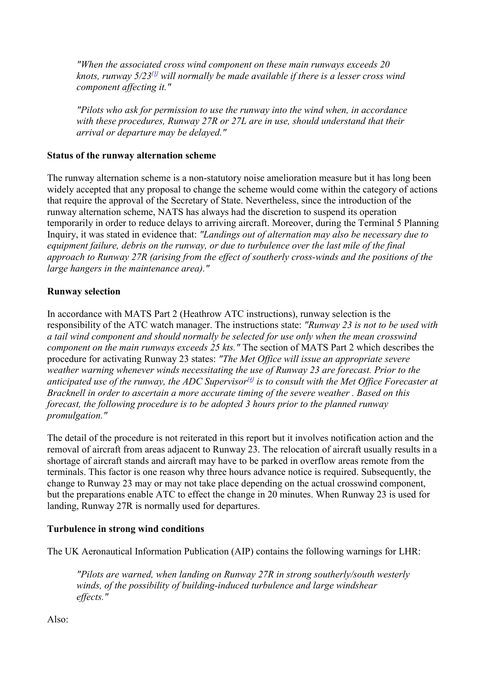*"When the associated cross wind component on these main runways exceeds 20*  knots, runway 5/23<sup>[[3\]](#page-9-0)</sup> will normally be made available if there is a lesser cross wind *component affecting it."* 

*"Pilots who ask for permission to use the runway into the wind when, in accordance with these procedures, Runway 27R or 27L are in use, should understand that their arrival or departure may be delayed."*

#### **Status of the runway alternation scheme**

The runway alternation scheme is a non-statutory noise amelioration measure but it has long been widely accepted that any proposal to change the scheme would come within the category of actions that require the approval of the Secretary of State. Nevertheless, since the introduction of the runway alternation scheme, NATS has always had the discretion to suspend its operation temporarily in order to reduce delays to arriving aircraft. Moreover, during the Terminal 5 Planning Inquiry, it was stated in evidence that: *"Landings out of alternation may also be necessary due to equipment failure, debris on the runway, or due to turbulence over the last mile of the final approach to Runway 27R (arising from the effect of southerly cross-winds and the positions of the large hangers in the maintenance area)."*

## **Runway selection**

In accordance with MATS Part 2 (Heathrow ATC instructions), runway selection is the responsibility of the ATC watch manager. The instructions state: *"Runway 23 is not to be used with a tail wind component and should normally be selected for use only when the mean crosswind component on the main runways exceeds 25 kts."* The section of MATS Part 2 which describes the procedure for activating Runway 23 states: *"The Met Office will issue an appropriate severe weather warning whenever winds necessitating the use of Runway 23 are forecast. Prior to the anticipated use of the runway, the ADC Supervisor[\[4\]](#page-9-0) is to consult with the Met Office Forecaster at Bracknell in order to ascertain a more accurate timing of the severe weather . Based on this forecast, the following procedure is to be adopted 3 hours prior to the planned runway promulgation."*

The detail of the procedure is not reiterated in this report but it involves notification action and the removal of aircraft from areas adjacent to Runway 23. The relocation of aircraft usually results in a shortage of aircraft stands and aircraft may have to be parked in overflow areas remote from the terminals. This factor is one reason why three hours advance notice is required. Subsequently, the change to Runway 23 may or may not take place depending on the actual crosswind component, but the preparations enable ATC to effect the change in 20 minutes. When Runway 23 is used for landing, Runway 27R is normally used for departures.

## **Turbulence in strong wind conditions**

The UK Aeronautical Information Publication (AIP) contains the following warnings for LHR:

*"Pilots are warned, when landing on Runway 27R in strong southerly/south westerly winds, of the possibility of building-induced turbulence and large windshear effects."*

Also: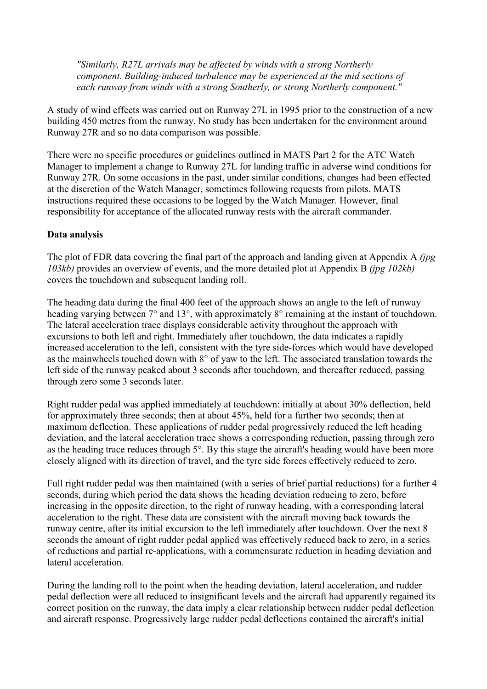*"Similarly, R27L arrivals may be affected by winds with a strong Northerly component. Building-induced turbulence may be experienced at the mid sections of each runway from winds with a strong Southerly, or strong Northerly component."*

A study of wind effects was carried out on Runway 27L in 1995 prior to the construction of a new building 450 metres from the runway. No study has been undertaken for the environment around Runway 27R and so no data comparison was possible.

There were no specific procedures or guidelines outlined in MATS Part 2 for the ATC Watch Manager to implement a change to Runway 27L for landing traffic in adverse wind conditions for Runway 27R. On some occasions in the past, under similar conditions, changes had been effected at the discretion of the Watch Manager, sometimes following requests from pilots. MATS instructions required these occasions to be logged by the Watch Manager. However, final responsibility for acceptance of the allocated runway rests with the aircraft commander.

### **Data analysis**

The plot of FDR data covering the final part of the approach and landing given at Appendix A *(jpg 103kb)* provides an overview of events, and the more detailed plot at Appendix B *(jpg 102kb)*  covers the touchdown and subsequent landing roll.

The heading data during the final 400 feet of the approach shows an angle to the left of runway heading varying between 7° and 13°, with approximately 8° remaining at the instant of touchdown. The lateral acceleration trace displays considerable activity throughout the approach with excursions to both left and right. Immediately after touchdown, the data indicates a rapidly increased acceleration to the left, consistent with the tyre side-forces which would have developed as the mainwheels touched down with 8° of yaw to the left. The associated translation towards the left side of the runway peaked about 3 seconds after touchdown, and thereafter reduced, passing through zero some 3 seconds later.

Right rudder pedal was applied immediately at touchdown: initially at about 30% deflection, held for approximately three seconds; then at about 45%, held for a further two seconds; then at maximum deflection. These applications of rudder pedal progressively reduced the left heading deviation, and the lateral acceleration trace shows a corresponding reduction, passing through zero as the heading trace reduces through 5°. By this stage the aircraft's heading would have been more closely aligned with its direction of travel, and the tyre side forces effectively reduced to zero.

Full right rudder pedal was then maintained (with a series of brief partial reductions) for a further 4 seconds, during which period the data shows the heading deviation reducing to zero, before increasing in the opposite direction, to the right of runway heading, with a corresponding lateral acceleration to the right. These data are consistent with the aircraft moving back towards the runway centre, after its initial excursion to the left immediately after touchdown. Over the next 8 seconds the amount of right rudder pedal applied was effectively reduced back to zero, in a series of reductions and partial re-applications, with a commensurate reduction in heading deviation and lateral acceleration.

During the landing roll to the point when the heading deviation, lateral acceleration, and rudder pedal deflection were all reduced to insignificant levels and the aircraft had apparently regained its correct position on the runway, the data imply a clear relationship between rudder pedal deflection and aircraft response. Progressively large rudder pedal deflections contained the aircraft's initial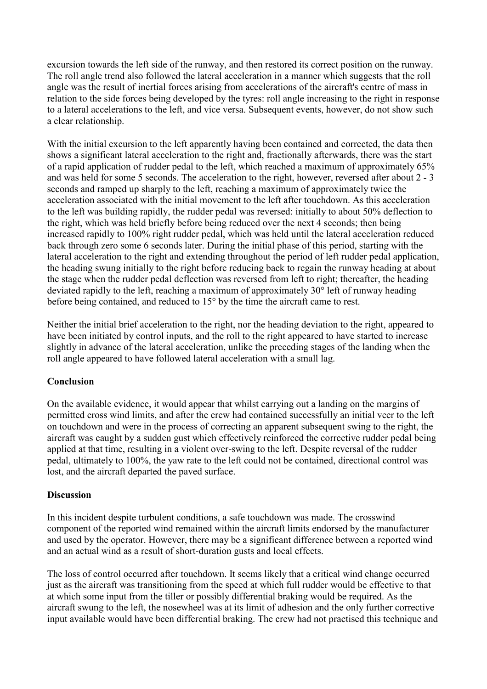excursion towards the left side of the runway, and then restored its correct position on the runway. The roll angle trend also followed the lateral acceleration in a manner which suggests that the roll angle was the result of inertial forces arising from accelerations of the aircraft's centre of mass in relation to the side forces being developed by the tyres: roll angle increasing to the right in response to a lateral accelerations to the left, and vice versa. Subsequent events, however, do not show such a clear relationship.

With the initial excursion to the left apparently having been contained and corrected, the data then shows a significant lateral acceleration to the right and, fractionally afterwards, there was the start of a rapid application of rudder pedal to the left, which reached a maximum of approximately 65% and was held for some 5 seconds. The acceleration to the right, however, reversed after about 2 - 3 seconds and ramped up sharply to the left, reaching a maximum of approximately twice the acceleration associated with the initial movement to the left after touchdown. As this acceleration to the left was building rapidly, the rudder pedal was reversed: initially to about 50% deflection to the right, which was held briefly before being reduced over the next 4 seconds; then being increased rapidly to 100% right rudder pedal, which was held until the lateral acceleration reduced back through zero some 6 seconds later. During the initial phase of this period, starting with the lateral acceleration to the right and extending throughout the period of left rudder pedal application, the heading swung initially to the right before reducing back to regain the runway heading at about the stage when the rudder pedal deflection was reversed from left to right; thereafter, the heading deviated rapidly to the left, reaching a maximum of approximately 30° left of runway heading before being contained, and reduced to 15° by the time the aircraft came to rest.

Neither the initial brief acceleration to the right, nor the heading deviation to the right, appeared to have been initiated by control inputs, and the roll to the right appeared to have started to increase slightly in advance of the lateral acceleration, unlike the preceding stages of the landing when the roll angle appeared to have followed lateral acceleration with a small lag.

## **Conclusion**

On the available evidence, it would appear that whilst carrying out a landing on the margins of permitted cross wind limits, and after the crew had contained successfully an initial veer to the left on touchdown and were in the process of correcting an apparent subsequent swing to the right, the aircraft was caught by a sudden gust which effectively reinforced the corrective rudder pedal being applied at that time, resulting in a violent over-swing to the left. Despite reversal of the rudder pedal, ultimately to 100%, the yaw rate to the left could not be contained, directional control was lost, and the aircraft departed the paved surface.

## **Discussion**

In this incident despite turbulent conditions, a safe touchdown was made. The crosswind component of the reported wind remained within the aircraft limits endorsed by the manufacturer and used by the operator. However, there may be a significant difference between a reported wind and an actual wind as a result of short-duration gusts and local effects.

The loss of control occurred after touchdown. It seems likely that a critical wind change occurred just as the aircraft was transitioning from the speed at which full rudder would be effective to that at which some input from the tiller or possibly differential braking would be required. As the aircraft swung to the left, the nosewheel was at its limit of adhesion and the only further corrective input available would have been differential braking. The crew had not practised this technique and